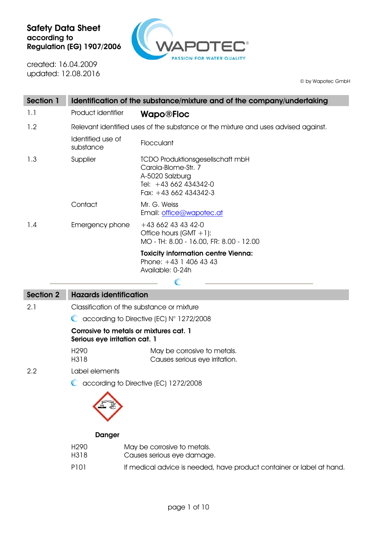

created: 16.04.2009 updated: 12.08.2016

© by Wapotec GmbH

| <b>Section 1</b> |                                                                                    | Identification of the substance/mixture and of the company/undertaking                                                              |  |
|------------------|------------------------------------------------------------------------------------|-------------------------------------------------------------------------------------------------------------------------------------|--|
| 1.1              | Product identifier                                                                 | <b>Wapo®Floc</b>                                                                                                                    |  |
| 1.2              | Relevant identified uses of the substance or the mixture and uses advised against. |                                                                                                                                     |  |
|                  | Identified use of<br>substance                                                     | Flocculant                                                                                                                          |  |
| 1.3              | Supplier                                                                           | <b>TCDO Produktionsgesellschaft mbH</b><br>Carola-Blome-Str. 7<br>A-5020 Salzburg<br>Tel: +43 662 434342-0<br>Fax: $+43662434342-3$ |  |
|                  | Contact                                                                            | Mr. G. Weiss<br>Email: office@wapotec.at                                                                                            |  |
| 1.4              | Emergency phone                                                                    | $+43662434342-0$<br>Office hours $(GMT + 1)$ :<br>MO - TH: 8.00 - 16.00, FR: 8.00 - 12.00                                           |  |
|                  |                                                                                    | <b>Toxicity information centre Vienna:</b><br>Phone: $+43$ 1 406 43 43<br>Available: 0-24h<br>C                                     |  |
| <b>Section 2</b> | <b>Hazards identification</b>                                                      |                                                                                                                                     |  |
| 2.1              | Classification of the substance or mixture                                         |                                                                                                                                     |  |
|                  | $\bullet$ according to Directive (EC) $N^{\circ}$ 1272/2008                        |                                                                                                                                     |  |
|                  | Corrosive to metals or mixtures cat. 1<br>Serious eye irritation cat. 1            |                                                                                                                                     |  |
|                  | H <sub>290</sub><br>H318                                                           | May be corrosive to metals.<br>Causes serious eye irritation.                                                                       |  |
| 2.2              | Label elements                                                                     |                                                                                                                                     |  |
|                  |                                                                                    | C according to Directive (EC) 1272/2008                                                                                             |  |
|                  | <b>Danger</b>                                                                      |                                                                                                                                     |  |

H290 H318 May be corrosive to metals. Causes serious eye damage. P101 If medical advice is needed, have product container or label at hand.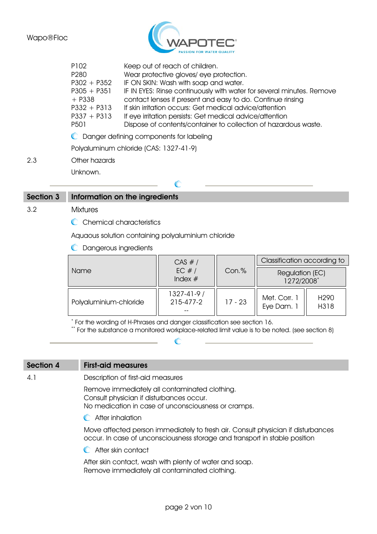

|     | P <sub>102</sub><br>P <sub>280</sub>                                                              | Keep out of reach of children.<br>Wear protective gloves/eye protection.                                                                                                                                                                                                                                                                                               |
|-----|---------------------------------------------------------------------------------------------------|------------------------------------------------------------------------------------------------------------------------------------------------------------------------------------------------------------------------------------------------------------------------------------------------------------------------------------------------------------------------|
|     | $P302 + P352$<br>$P305 + P351$<br>$+$ P338<br>$P332 + P313$<br>$P337 + P313$<br>P <sub>50</sub> 1 | IF ON SKIN: Wash with soap and water.<br>IF IN EYES: Rinse continuously with water for several minutes. Remove<br>contact lenses if present and easy to do. Continue rinsing<br>If skin irritation occurs: Get medical advice/attention<br>If eye irritation persists: Get medical advice/attention<br>Dispose of contents/container to collection of hazardous waste. |
|     |                                                                                                   | C Danger defining components for labeling                                                                                                                                                                                                                                                                                                                              |
|     |                                                                                                   | Polyaluminum chloride (CAS: 1327-41-9)                                                                                                                                                                                                                                                                                                                                 |
| 2.3 | Other hazards                                                                                     |                                                                                                                                                                                                                                                                                                                                                                        |
|     | Unknown.                                                                                          |                                                                                                                                                                                                                                                                                                                                                                        |
|     |                                                                                                   |                                                                                                                                                                                                                                                                                                                                                                        |

## Section 3 Information on the ingredients

3.2 Mixtures

C Chemical characteristics

Aquaous solution containing polyaluminium chloride

Dangerous ingredients

| Name                   | CAS #/<br>EC $#/$<br>Index $#$ | Con.%     | Classification according to   |                          |
|------------------------|--------------------------------|-----------|-------------------------------|--------------------------|
|                        |                                |           | Regulation (EC)<br>1272/2008* |                          |
| Polyaluminium-chloride | $1327 - 41 - 9/$<br>215-477-2  | $17 - 23$ | Met. Corr. 1<br>Eye Dam. 1    | H <sub>290</sub><br>H318 |

\* For the wording of H-Phrases and danger classification see section 16.

\*\* For the substance a monitored workplace-related limit value is to be noted. (see section 8)

# Section 4 First-aid measures 4.1 Description of first-aid measures Remove immediately all contaminated clothing. Consult physician if disturbances occur. No medication in case of unconsciousness or cramps. **C** After inhalation Move affected person immediately to fresh air. Consult physician if disturbances occur. In case of unconsciousness storage and transport in stable position **C** After skin contact

After skin contact, wash with plenty of water and soap. Remove immediately all contaminated clothing.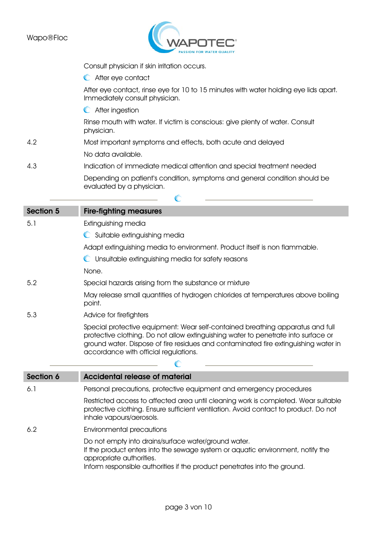

|                  | Consult physician if skin irritation occurs.                                                                                                                                                                                                                                                         |  |  |
|------------------|------------------------------------------------------------------------------------------------------------------------------------------------------------------------------------------------------------------------------------------------------------------------------------------------------|--|--|
|                  | C After eye contact                                                                                                                                                                                                                                                                                  |  |  |
|                  | After eye contact, rinse eye for 10 to 15 minutes with water holding eye lids apart.<br>Immediately consult physician.                                                                                                                                                                               |  |  |
|                  | C After ingestion                                                                                                                                                                                                                                                                                    |  |  |
|                  | Rinse mouth with water. If victim is conscious: give plenty of water. Consult<br>physician.                                                                                                                                                                                                          |  |  |
| 4.2              | Most important symptoms and effects, both acute and delayed                                                                                                                                                                                                                                          |  |  |
|                  | No data available.                                                                                                                                                                                                                                                                                   |  |  |
| 4.3              | Indication of immediate medical attention and special treatment needed                                                                                                                                                                                                                               |  |  |
|                  | Depending on patient's condition, symptoms and general condition should be<br>evaluated by a physician.                                                                                                                                                                                              |  |  |
|                  | C                                                                                                                                                                                                                                                                                                    |  |  |
| Section 5        | <b>Fire-fighting measures</b>                                                                                                                                                                                                                                                                        |  |  |
| 5.1              | Extinguishing media                                                                                                                                                                                                                                                                                  |  |  |
|                  | C Suitable extinguishing media                                                                                                                                                                                                                                                                       |  |  |
|                  | Adapt extinguishing media to environment. Product itself is non flammable.                                                                                                                                                                                                                           |  |  |
|                  | Unsuitable extinguishing media for safety reasons                                                                                                                                                                                                                                                    |  |  |
|                  | None.                                                                                                                                                                                                                                                                                                |  |  |
| 5.2              | Special hazards arising from the substance or mixture                                                                                                                                                                                                                                                |  |  |
|                  | May release small quantities of hydrogen chlorides at temperatures above boiling<br>point.                                                                                                                                                                                                           |  |  |
| 5.3              | Advice for firefighters                                                                                                                                                                                                                                                                              |  |  |
|                  | Special protective equipment: Wear self-contained breathing apparatus and full<br>protective clothing. Do not allow extinguishing water to penetrate into surface or<br>ground water. Dispose of fire residues and contaminated fire extinguishing water in<br>accordance with official regulations. |  |  |
|                  |                                                                                                                                                                                                                                                                                                      |  |  |
| <b>Section 6</b> | <b>Accidental release of material</b>                                                                                                                                                                                                                                                                |  |  |
| 6.1              | Personal precautions, protective equipment and emergency procedures                                                                                                                                                                                                                                  |  |  |
|                  | Restricted access to affected area until cleaning work is completed. Wear suitable<br>protective clothing. Ensure sufficient ventilation. Avoid contact to product. Do not<br>inhale vapours/aerosols.                                                                                               |  |  |
| 6.2              | Environmental precautions                                                                                                                                                                                                                                                                            |  |  |
|                  | Do not empty into drains/surface water/ground water.<br>If the product enters into the sewage system or aquatic environment, notify the<br>appropriate authorities.<br>Inform responsible authorities if the product penetrates into the ground.                                                     |  |  |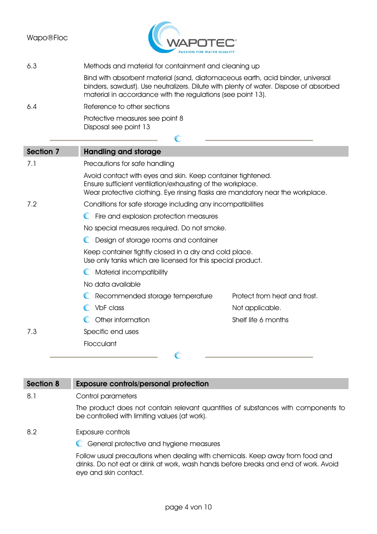

### 6.3 Methods and material for containment and cleaning up

Bind with absorbent material (sand, diatomaceous earth, acid binder, universal binders, sawdust). Use neutralizers. Dilute with plenty of water. Dispose of absorbed material in accordance with the regulations (see point 13).

6.4 Reference to other sections

Protective measures see point 8 Disposal see point 13

| Section 7                                                                                                             | <b>Handling and storage</b>                                                                                                                                                                                 |                              |
|-----------------------------------------------------------------------------------------------------------------------|-------------------------------------------------------------------------------------------------------------------------------------------------------------------------------------------------------------|------------------------------|
| 7.1                                                                                                                   | Precautions for safe handling                                                                                                                                                                               |                              |
|                                                                                                                       | Avoid contact with eyes and skin. Keep container tightened.<br>Ensure sufficient ventilation/exhausting of the workplace.<br>Wear protective clothing. Eye rinsing flasks are mandatory near the workplace. |                              |
| 7.2                                                                                                                   | Conditions for safe storage including any incompatibilities                                                                                                                                                 |                              |
|                                                                                                                       | C Fire and explosion protection measures                                                                                                                                                                    |                              |
|                                                                                                                       | No special measures required. Do not smoke.                                                                                                                                                                 |                              |
|                                                                                                                       | Design of storage rooms and container                                                                                                                                                                       |                              |
| Keep container tightly closed in a dry and cold place.<br>Use only tanks which are licensed for this special product. |                                                                                                                                                                                                             |                              |
|                                                                                                                       | Material incompatibility                                                                                                                                                                                    |                              |
|                                                                                                                       | No data available                                                                                                                                                                                           |                              |
|                                                                                                                       | Recommended storage temperature                                                                                                                                                                             | Protect from heat and frost. |
|                                                                                                                       | VbF class                                                                                                                                                                                                   | Not applicable.              |
|                                                                                                                       | Other information                                                                                                                                                                                           | Shelf life 6 months          |
| 7.3                                                                                                                   | Specific end uses                                                                                                                                                                                           |                              |
|                                                                                                                       | Flocculant                                                                                                                                                                                                  |                              |
|                                                                                                                       |                                                                                                                                                                                                             |                              |

 $\sqrt{2}$ 

| Section 8 | <b>Exposure controls/personal protection</b>                                                                                                                                                   |
|-----------|------------------------------------------------------------------------------------------------------------------------------------------------------------------------------------------------|
| 8.1       | Control parameters                                                                                                                                                                             |
|           | The product does not contain relevant quantities of substances with components to<br>be controlled with limiting values (at work).                                                             |
| 8.2       | Exposure controls                                                                                                                                                                              |
|           | General protective and hygiene measures                                                                                                                                                        |
|           | Follow usual precautions when dealing with chemicals. Keep away from food and<br>drinks. Do not eat or drink at work, wash hands before breaks and end of work. Avoid<br>eye and skin contact. |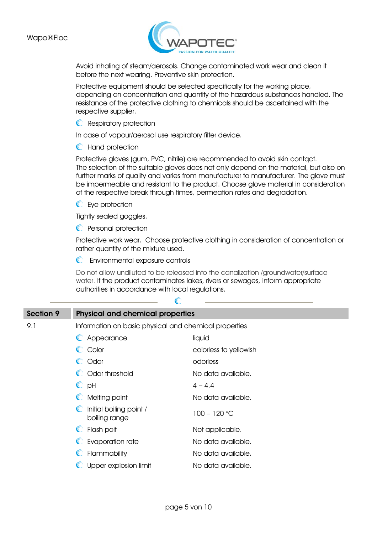

Avoid inhaling of steam/aerosols. Change contaminated work wear and clean it before the next wearing. Preventive skin protection.

Protective equipment should be selected specifically for the working place, depending on concentration and quantity of the hazardous substances handled. The resistance of the protective clothing to chemicals should be ascertained with the respective supplier.

**C** Respiratory protection

In case of vapour/aerosol use respiratory filter device.

**C** Hand protection

Protective gloves (gum, PVC, nitrile) are recommended to avoid skin contqct. The selection of the suitable gloves does not only depend on the material, but also on further marks of quality and varies from manufacturer to manufacturer. The glove must be impermeable and resistant to the product. Choose glove material in consideration of the respective break through times, permeation rates and degradation.

**C** Eye protection

Tightly sealed goggles.

**C** Personal protection

Protective work wear. Choose protective clothing in consideration of concentration or rather quantity of the mixture used.

Environmental exposure controls

Do not allow undiluted to be released into the canalization /groundwater/surface water. If the product contaminates lakes, rivers or sewages, inform appropriate authorities in accordance with local regulations.

| <b>Section 9</b> | <b>Physical and chemical properties</b>               |                        |  |  |
|------------------|-------------------------------------------------------|------------------------|--|--|
| 9.1              | Information on basic physical and chemical properties |                        |  |  |
|                  | Appearance                                            | liquid                 |  |  |
|                  | C Color                                               | colorless to yellowish |  |  |
|                  | C Odor                                                | odorless               |  |  |
|                  | C Odor threshold                                      | No data available.     |  |  |
|                  | $\mathbb{C}$ pH                                       | $4 - 4.4$              |  |  |
|                  | Melting point<br>$\mathbb{C}$                         | No data available.     |  |  |
|                  | Initial boiling point /<br>boiling range              | $100 - 120$ °C         |  |  |
|                  | Flash poit<br>$\mathbb{C}$                            | Not applicable.        |  |  |
|                  | Evaporation rate                                      | No data available.     |  |  |
|                  | Flammability                                          | No data available.     |  |  |
|                  | Upper explosion limit                                 | No data available.     |  |  |

 $\mathbb{C}$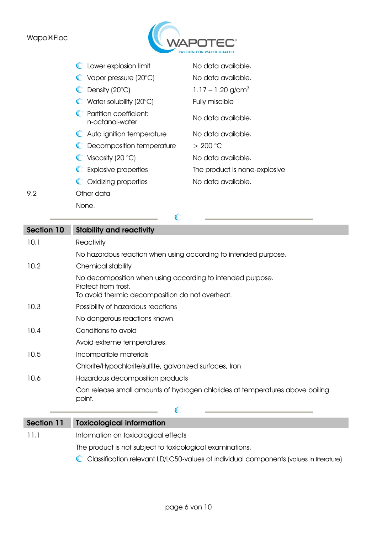## Wapo®Floc



| C Lower explosion limit                      | No data available.              |
|----------------------------------------------|---------------------------------|
| $\bullet$ Vapor pressure (20 $^{\circ}$ C)   | No data available.              |
| $\bullet$ Density (20 $\circ$ C)             | $1.17 - 1.20$ g/cm <sup>3</sup> |
| $\bullet$ Water solubility (20 $^{\circ}$ C) | Fully miscible                  |
| C Partition coefficient:<br>n-octanol-water  | No data available.              |
| C Auto ignition temperature                  | No data available.              |
| C Decomposition temperature                  | > 200 °C                        |
| $\bullet$ Viscosity (20 °C)                  | No data available.              |
| C Explosive properties                       | The product is none-explosive   |
| C Oxidizing properties                       | No data available.              |
| $\bigcap$ thor data                          |                                 |

9.2 Other data None.

 $\mathbb{C}$ 

| Section 10 | <b>Stability and reactivity</b>                                                                                                      |  |
|------------|--------------------------------------------------------------------------------------------------------------------------------------|--|
| 10.1       | Reactivity                                                                                                                           |  |
|            | No hazardous reaction when using according to intended purpose.                                                                      |  |
| 10.2       | Chemical stability                                                                                                                   |  |
|            | No decomposition when using according to intended purpose.<br>Protect from frost.<br>To avoid thermic decomposition do not overheat. |  |
| 10.3       | Possibility of hazardous reactions                                                                                                   |  |
|            | No dangerous reactions known.                                                                                                        |  |
| 10.4       | Conditions to avoid                                                                                                                  |  |
|            | Avoid extreme temperatures.                                                                                                          |  |
| 10.5       | Incompatible materials                                                                                                               |  |
|            | Chlorite/Hypochlorite/sulfite, galvanized surfaces, Iron                                                                             |  |
| 10.6       | Hazardous decomposition products                                                                                                     |  |
|            | Can release small amounts of hydrogen chlorides at temperatures above boiling<br>point.                                              |  |
|            |                                                                                                                                      |  |

# Section 11 Toxicological information

11.1 Information on toxicological effects

The product is not subject to toxicological examinations.

Classification relevant LD/LC50-values of individual components (values in literature)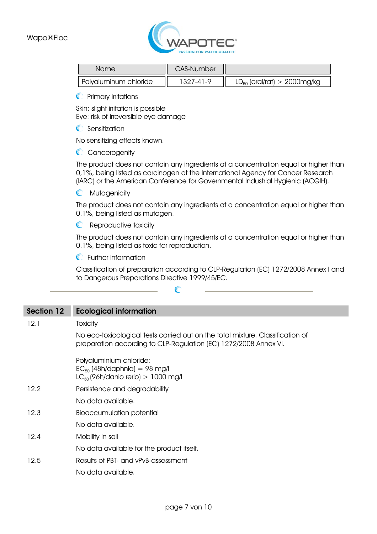

| Name                  | <b>CAS-Number</b> |                                  |
|-----------------------|-------------------|----------------------------------|
| Polvaluminum chloride | 1327-41-9         | $LD_{50}$ (oral/rat) > 2000mg/kg |

**C** Primary irritations

Skin: slight irritation is possible Eye: risk of irreversible eye damage

C Sensitization

No sensitizing effects known.

**C** Cancerogenity

The product does not contain any ingredients at a concentration equal or higher than 0,1%, being listed as carcinogen at the International Agency for Cancer Research (IARC) or the American Conference for Governmental Industrial Hygienic (ACGIH).

**C** Mutagenicity

The product does not contain any ingredients at a concentration equal or higher than 0.1%, being listed as mutagen.

**C** Reproductive toxicity

The product does not contain any ingredients at a concentration equal or higher than 0.1%, being listed as toxic for reproduction.

**C** Further information

Classification of preparation according to CLP-Regulation (EC) 1272/2008 Annex I and to Dangerous Preparations Directive 1999/45/EC.

| Section 12 | <b>Ecological information</b>                                                                                                                      |
|------------|----------------------------------------------------------------------------------------------------------------------------------------------------|
| 12.1       | Toxicity                                                                                                                                           |
|            | No eco-toxicological tests carried out on the total mixture. Classification of<br>preparation according to CLP-Regulation (EC) 1272/2008 Annex VI. |
|            | Polyaluminium chloride:<br>$EC_{50}$ (48h/daphnia) = 98 mg/l<br>$LC_{50}$ (96h/danio rerio) > 1000 mg/l                                            |
| 12.2       | Persistence and degradability                                                                                                                      |
|            | No data available.                                                                                                                                 |
| 12.3       | <b>Bioaccumulation potential</b>                                                                                                                   |
|            | No data available.                                                                                                                                 |
| 12.4       | Mobility in soil                                                                                                                                   |
|            | No data available for the product itself.                                                                                                          |
| 12.5       | Results of PBT- and vPvB-assessment                                                                                                                |
|            | No data available.                                                                                                                                 |

 $\mathbb{C}$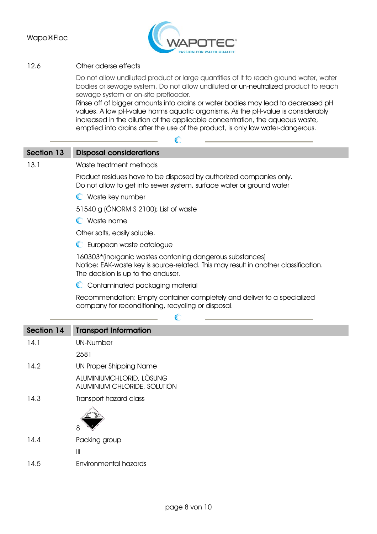

### 12.6 Other aderse effects

Do not allow undiluted product or large quantities of it to reach ground water, water bodies or sewage system. Do not allow undiluted or un-neutralized product to reach sewage system or on-site preflooder.

Rinse off of bigger amounts into drains or water bodies may lead to decreased pH values. A low pH-value harms aquatic organisms. As the pH-value is considerably increased in the dilution of the applicable concentration, the aqueous waste, emptied into drains after the use of the product, is only low water-dangerous.

# Section 13 Disposal considerations

#### 13.1 Waste treatment methods

Product residues have to be disposed by authorized companies only. Do not allow to get into sewer system, surface water or ground water

**C** Waste key number

51540 g (ÖNORM S 2100); List of waste

Waste name

Other salts, easily soluble.

**C** European waste catalogue

160303\*(inorganic wastes contaning dangerous substances) Notice: EAK-waste key is source-related. This may result in another classification. The decision is up to the enduser.

C Contaminated packaging material

Recommendation: Empty container completely and deliver to a specialized company for reconditioning, recycling or disposal.

C

| Section 14 | <b>Transport Information</b>                             |
|------------|----------------------------------------------------------|
| 14.1       | <b>UN-Number</b>                                         |
|            | 2581                                                     |
| 14.2       | UN Proper Shipping Name                                  |
|            | ALUMINIUMCHLORID, LÖSUNG<br>ALUMINIUM CHLORIDE, SOLUTION |
| 14.3       | Transport hazard class                                   |
|            | 8                                                        |
| 14.4       | Packing group                                            |
|            | $\begin{array}{c} \hline \end{array}$                    |
| 14.5       | <b>Environmental hazards</b>                             |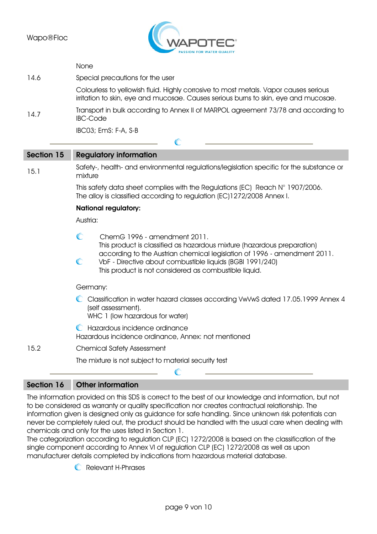

|      | None                                                                                                                                                                        |
|------|-----------------------------------------------------------------------------------------------------------------------------------------------------------------------------|
| 14.6 | Special precautions for the user                                                                                                                                            |
|      | Colourless to yellowish fluid. Highly corrosive to most metals. Vapor causes serious<br>irritation to skin, eye and mucosae. Causes serious burns to skin, eye and mucosae. |
| 14.7 | Transport in bulk according to Annex II of MARPOL agreement 73/78 and according to<br><b>IBC-Code</b>                                                                       |
|      | IBC03; EmS: F-A, S-B                                                                                                                                                        |
|      |                                                                                                                                                                             |

| Section 15 | <b>Regulatory information</b>                                                                                                                                                                       |  |
|------------|-----------------------------------------------------------------------------------------------------------------------------------------------------------------------------------------------------|--|
| 15.1       | Safety-, health- and environmental regulations/legislation specific for the substance or<br>mixture                                                                                                 |  |
|            | This safety data sheet complies with the Regulations (EC) Reach $N^{\circ}$ 1907/2006.<br>The alloy is classified according to regulation (EC)1272/2008 Annex I.<br><b>National regulatory:</b>     |  |
|            |                                                                                                                                                                                                     |  |
|            | Austria:                                                                                                                                                                                            |  |
|            | $\mathbb{C}$<br>ChemG 1996 - amendment 2011.<br>This product is classified as hazardous mixture (hazardous preparation)                                                                             |  |
|            | according to the Austrian chemical legislation of 1996 - amendment 2011.<br>C<br>VbF - Directive about combustible liquids (BGBI 1991/240)<br>This product is not considered as combustible liquid. |  |
|            | Germany:                                                                                                                                                                                            |  |
|            | C Classification in water hazard classes according VwVwS dated 17.05.1999 Annex 4<br>(self assessment).<br>WHC 1 (low hazardous for water)                                                          |  |
|            | Hazardous incidence ordinance<br>Hazardous incidence ordinance, Annex: not mentioned                                                                                                                |  |
| 15.2       | <b>Chemical Safety Assessment</b>                                                                                                                                                                   |  |
|            | The mixture is not subject to material security test                                                                                                                                                |  |
|            |                                                                                                                                                                                                     |  |

# Section 16 Other information

The information provided on this SDS is correct to the best of our knowledge and information, but not to be considered as warranty or quality specification nor creates contractual relationship. The information given is designed only as guidance for safe handling. Since unknown risk potentials can never be completely ruled out, the product should be handled with the usual care when dealing with chemicals and only for the uses listed in Section 1.

The categorization according to regulation CLP (EC) 1272/2008 is based on the classification of the single component according to Annex VI of regulation CLP (EC) 1272/2008 as well as upon manufacturer details completed by indications from hazardous material database.

**C** Relevant H-Phrases